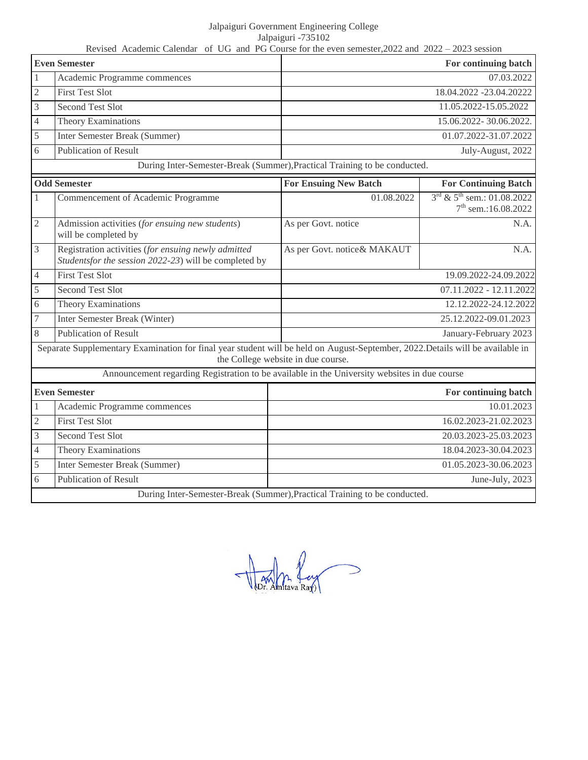Jalpaiguri Government Engineering College Jalpaiguri -735102

Revised Academic Calendar of UG and PG Course for the even semester,2022 and 2022 – 2023 session **Even Semester For continuing batch For continuing batch For continuing batch** 1 Academic Programme commences 07.03.2022 2 First Test Slot 18.04.2022 -23.04.20222 3 Second Test Slot 11.05.2022-15.05.2022 4 Theory Examinations 15.06.2022- 30.06.2022. 5 Inter Semester Break (Summer) 01.07.2022-31.07.2022 6 Publication of Result July-August, 2022 During Inter-Semester-Break (Summer),Practical Training to be conducted. **Odd Semester For Ensuing New Batch For Continuing Batch** 1 Commencement of Academic Programme 1 01.08.2022  $3^{rd}$  &  $5^{th}$  sem.: 01.08.2022 7<sup>th</sup> sem.:16.08.2022 2 Admission activities (*for ensuing new students*) will be completed by As per Govt. notice N.A. 3 Registration activities (*for ensuing newly admitted Studentsfor the session 2022-23*) will be completed by As per Govt. notice & MAKAUT N.A. 4 First Test Slot 19.09.2022-24.09.2022 5 Second Test Slot 07.11.2022 - 12.11.2022 6 Theory Examinations 12.12.2022-24.12.2022 7 Inter Semester Break (Winter) 25.12.2022-09.01.2023 8 Publication of Result 3 and 2023 Separate Supplementary Examination for final year student will be held on August-September, 2022.Details will be available in the College website in due course. Announcement regarding Registration to be available in the University websites in due course **Even Semester For continuing batch For continuing batch For continuing batch** 1 Academic Programme commences 10.01.2023 2 First Test Slot 16.02.2023-21.02.2023 3 Second Test Slot 20.03.2023-25.03.2023 4 Theory Examinations 18.04.2023-30.04.2023 5 Inter Semester Break (Summer) 01.05.2023-30.06.2023 6 Publication of Result June-July, 2023 During Inter-Semester-Break (Summer),Practical Training to be conducted.

Dr. Amtava Ray